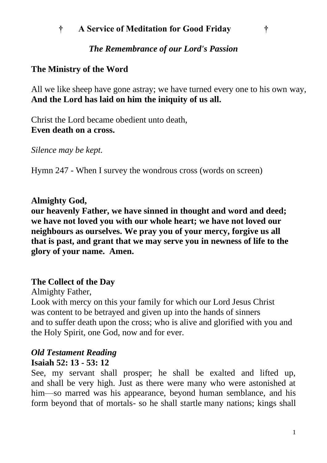#### **† A Service of Meditation for Good Friday †**

#### *The Remembrance of our Lord's Passion*

#### **The Ministry of the Word**

All we like sheep have gone astray; we have turned every one to his own way, **And the Lord has laid on him the iniquity of us all.**

Christ the Lord became obedient unto death, **Even death on a cross.**

*Silence may be kept.*

Hymn 247 - When I survey the wondrous cross (words on screen)

#### **Almighty God,**

**our heavenly Father, we have sinned in thought and word and deed; we have not loved you with our whole heart; we have not loved our neighbours as ourselves. We pray you of your mercy, forgive us all that is past, and grant that we may serve you in newness of life to the glory of your name. Amen.**

#### **The Collect of the Day**

Almighty Father,

Look with mercy on this your family for which our Lord Jesus Christ was content to be betrayed and given up into the hands of sinners and to suffer death upon the cross; who is alive and glorified with you and the Holy Spirit, one God, now and for ever.

#### *Old Testament Reading* **Isaiah 52: 13 - 53: 12**

See, my servant shall prosper; he shall be exalted and lifted up, and shall be very high. Just as there were many who were astonished at him—so marred was his appearance, beyond human semblance, and his form beyond that of mortals- so he shall startle many nations; kings shall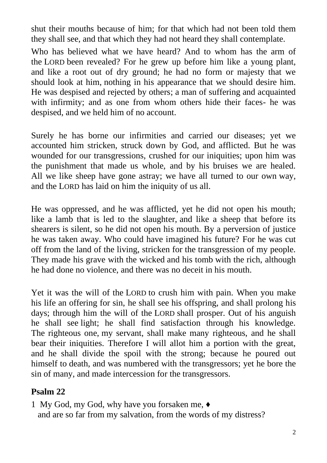shut their mouths because of him; for that which had not been told them they shall see, and that which they had not heard they shall contemplate.

Who has believed what we have heard? And to whom has the arm of the LORD been revealed? For he grew up before him like a young plant, and like a root out of dry ground; he had no form or majesty that we should look at him, nothing in his appearance that we should desire him. He was despised and rejected by others; a man of suffering and acquainted with infirmity; and as one from whom others hide their faces- he was despised, and we held him of no account.

Surely he has borne our infirmities and carried our diseases; yet we accounted him stricken, struck down by God, and afflicted. But he was wounded for our transgressions, crushed for our iniquities; upon him was the punishment that made us whole, and by his bruises we are healed. All we like sheep have gone astray; we have all turned to our own way, and the LORD has laid on him the iniquity of us all.

He was oppressed, and he was afflicted, yet he did not open his mouth; like a lamb that is led to the slaughter, and like a sheep that before its shearers is silent, so he did not open his mouth. By a perversion of justice he was taken away. Who could have imagined his future? For he was cut off from the land of the living, stricken for the transgression of my people. They made his grave with the wicked and his tomb with the rich, although he had done no violence, and there was no deceit in his mouth.

Yet it was the will of the LORD to crush him with pain. When you make his life an offering for sin, he shall see his offspring, and shall prolong his days; through him the will of the LORD shall prosper. Out of his anguish he shall see light; he shall find satisfaction through his knowledge. The righteous one, my servant, shall make many righteous, and he shall bear their iniquities. Therefore I will allot him a portion with the great, and he shall divide the spoil with the strong; because he poured out himself to death, and was numbered with the transgressors; yet he bore the sin of many, and made intercession for the transgressors.

## **Psalm 22**

1 My God, my God, why have you forsaken me, ♦︎ and are so far from my salvation, from the words of my distress?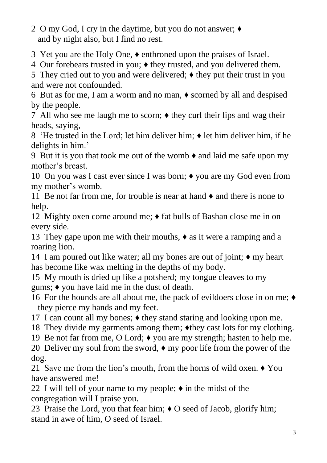- 2 O my God, I cry in the daytime, but you do not answer; ♦︎ and by night also, but I find no rest.
- 3 Yet you are the Holy One, ♦︎ enthroned upon the praises of Israel.

4 Our forebears trusted in you; ♦︎ they trusted, and you delivered them.

5 They cried out to you and were delivered; ♦︎ they put their trust in you and were not confounded.

6 But as for me, I am a worm and no man, ♦︎ scorned by all and despised by the people.

7 All who see me laugh me to scorn;  $\triangle$  they curl their lips and wag their heads, saying,

8 'He trusted in the Lord; let him deliver him; ♦︎ let him deliver him, if he delights in him.'

9 But it is you that took me out of the womb  $\triangle$  and laid me safe upon my mother's breast.

10 On you was I cast ever since I was born; ♦︎ you are my God even from my mother's womb.

11 Be not far from me, for trouble is near at hand  $\bullet$  and there is none to help.

12 Mighty oxen come around me; ♦︎ fat bulls of Bashan close me in on every side.

13 They gape upon me with their mouths,  $\triangle$  as it were a ramping and a roaring lion.

14 I am poured out like water; all my bones are out of joint; ♦︎ my heart has become like wax melting in the depths of my body.

15 My mouth is dried up like a potsherd; my tongue cleaves to my gums; ♦︎ you have laid me in the dust of death.

- 16 For the hounds are all about me, the pack of evildoers close in on me; ♦︎ they pierce my hands and my feet.
- 17 I can count all my bones; ♦︎ they stand staring and looking upon me.

18 They divide my garments among them; ♦︎they cast lots for my clothing.

19 Be not far from me, O Lord; ♦︎ you are my strength; hasten to help me.

20 Deliver my soul from the sword, ♦︎ my poor life from the power of the dog.

21 Save me from the lion's mouth, from the horns of wild oxen.  $\triangle$  You have answered me!

22 I will tell of your name to my people;  $\triangle$  in the midst of the congregation will I praise you.

23 Praise the Lord, you that fear him;  $\triangle$  O seed of Jacob, glorify him; stand in awe of him, O seed of Israel.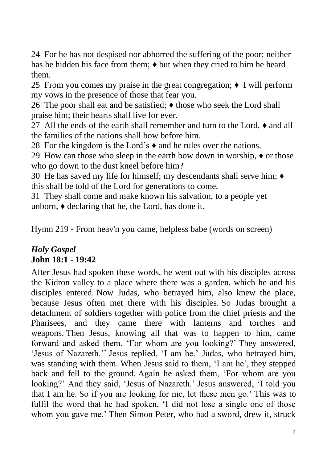24 For he has not despised nor abhorred the suffering of the poor; neither has he hidden his face from them; ♦︎ but when they cried to him he heard them.

25 From you comes my praise in the great congregation;  $\triangle$  I will perform my vows in the presence of those that fear you.

26 The poor shall eat and be satisfied; ♦︎ those who seek the Lord shall praise him; their hearts shall live for ever.

27 All the ends of the earth shall remember and turn to the Lord, ♦︎ and all the families of the nations shall bow before him.

28 For the kingdom is the Lord's  $\bullet$  and he rules over the nations.

29 How can those who sleep in the earth bow down in worship, ♦︎ or those who go down to the dust kneel before him?

30 He has saved my life for himself; my descendants shall serve him; ♦︎ this shall be told of the Lord for generations to come.

31 They shall come and make known his salvation, to a people yet unborn, ♦︎ declaring that he, the Lord, has done it.

Hymn 219 - From heav'n you came, helpless babe (words on screen)

## *Holy Gospel* **John 18:1 - 19:42**

After Jesus had spoken these words, he went out with his disciples across the Kidron valley to a place where there was a garden, which he and his disciples entered. Now Judas, who betrayed him, also knew the place, because Jesus often met there with his disciples. So Judas brought a detachment of soldiers together with police from the chief priests and the Pharisees, and they came there with lanterns and torches and weapons. Then Jesus, knowing all that was to happen to him, came forward and asked them, 'For whom are you looking?' They answered, 'Jesus of Nazareth.'<sup>[\\*](javascript:void(0);)</sup> Jesus replied, 'I am he.' Judas, who betrayed him, was standing with them. When Jesus said to them, 'I am he', they stepped back and fell to the ground. Again he asked them, 'For whom are you looking?' And they said, 'Jesus of Nazareth.' Jesus answered, 'I told you that I am he. So if you are looking for me, let these men go.' This was to fulfil the word that he had spoken, 'I did not lose a single one of those whom you gave me.' Then Simon Peter, who had a sword, drew it, struck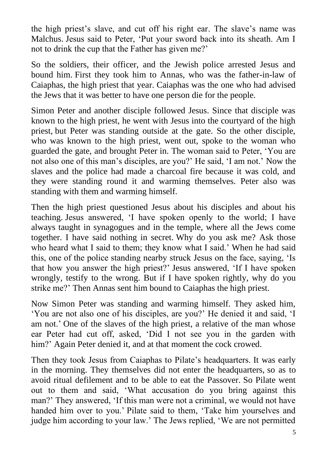the high priest's slave, and cut off his right ear. The slave's name was Malchus. Jesus said to Peter, 'Put your sword back into its sheath. Am I not to drink the cup that the Father has given me?'

So the soldiers, their officer, and the Jewish police arrested Jesus and bound him. First they took him to Annas, who was the father-in-law of Caiaphas, the high priest that year. Caiaphas was the one who had advised the Jews that it was better to have one person die for the people.

Simon Peter and another disciple followed Jesus. Since that disciple was known to the high priest, he went with Jesus into the courtyard of the high priest, but Peter was standing outside at the gate. So the other disciple, who was known to the high priest, went out, spoke to the woman who guarded the gate, and brought Peter in. The woman said to Peter, 'You are not also one of this man's disciples, are you?' He said, 'I am not.' Now the slaves and the police had made a charcoal fire because it was cold, and they were standing round it and warming themselves. Peter also was standing with them and warming himself.

Then the high priest questioned Jesus about his disciples and about his teaching. Jesus answered, 'I have spoken openly to the world; I have always taught in synagogues and in the temple, where all the Jews come together. I have said nothing in secret. Why do you ask me? Ask those who heard what I said to them; they know what I said.' When he had said this, one of the police standing nearby struck Jesus on the face, saying, 'Is that how you answer the high priest?' Jesus answered, 'If I have spoken wrongly, testify to the wrong. But if I have spoken rightly, why do you strike me?' Then Annas sent him bound to Caiaphas the high priest.

Now Simon Peter was standing and warming himself. They asked him, 'You are not also one of his disciples, are you?' He denied it and said, 'I am not.' One of the slaves of the high priest, a relative of the man whose ear Peter had cut off, asked, 'Did I not see you in the garden with him?' Again Peter denied it, and at that moment the cock crowed.

Then they took Jesus from Caiaphas to Pilate's headquarters. It was early in the morning. They themselves did not enter the headquarters, so as to avoid ritual defilement and to be able to eat the Passover. So Pilate went out to them and said, 'What accusation do you bring against this man?' They answered, 'If this man were not a criminal, we would not have handed him over to you.' Pilate said to them, 'Take him yourselves and judge him according to your law.' The Jews replied, 'We are not permitted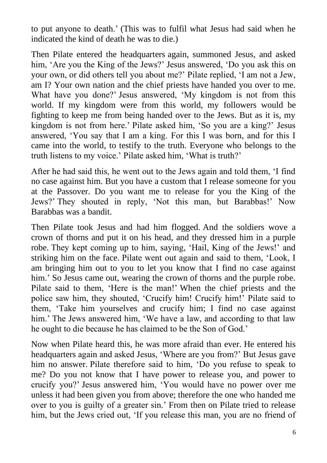to put anyone to death.' (This was to fulfil what Jesus had said when he indicated the kind of death he was to die.)

Then Pilate entered the headquarters again, summoned Jesus, and asked him, 'Are you the King of the Jews?' Jesus answered, 'Do you ask this on your own, or did others tell you about me?' Pilate replied, 'I am not a Jew, am I? Your own nation and the chief priests have handed you over to me. What have you done?' Jesus answered, 'My kingdom is not from this world. If my kingdom were from this world, my followers would be fighting to keep me from being handed over to the Jews. But as it is, my kingdom is not from here.' Pilate asked him, 'So you are a king?' Jesus answered, 'You say that I am a king. For this I was born, and for this I came into the world, to testify to the truth. Everyone who belongs to the truth listens to my voice.' Pilate asked him, 'What is truth?'

After he had said this, he went out to the Jews again and told them, 'I find no case against him. But you have a custom that I release someone for you at the Passover. Do you want me to release for you the King of the Jews?' They shouted in reply, 'Not this man, but Barabbas!' Now Barabbas was a bandit.

Then Pilate took Jesus and had him flogged. And the soldiers wove a crown of thorns and put it on his head, and they dressed him in a purple robe. They kept coming up to him, saying, 'Hail, King of the Jews!' and striking him on the face. Pilate went out again and said to them, 'Look, I am bringing him out to you to let you know that I find no case against him.' So Jesus came out, wearing the crown of thorns and the purple robe. Pilate said to them, 'Here is the man!' When the chief priests and the police saw him, they shouted, 'Crucify him! Crucify him!' Pilate said to them, 'Take him yourselves and crucify him; I find no case against him.' The Jews answered him, 'We have a law, and according to that law he ought to die because he has claimed to be the Son of God.'

Now when Pilate heard this, he was more afraid than ever. He entered his headquarters again and asked Jesus, 'Where are you from?' But Jesus gave him no answer. Pilate therefore said to him, 'Do you refuse to speak to me? Do you not know that I have power to release you, and power to crucify you?' Jesus answered him, 'You would have no power over me unless it had been given you from above; therefore the one who handed me over to you is guilty of a greater sin.' From then on Pilate tried to release him, but the Jews cried out, 'If you release this man, you are no friend of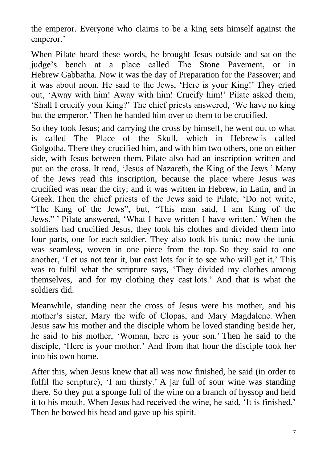the emperor. Everyone who claims to be a king sets himself against the emperor.'

When Pilate heard these words, he brought Jesus outside and sat on the judge's bench at a place called The Stone Pavement, or in Hebrew Gabbatha. Now it was the day of Preparation for the Passover; and it was about noon. He said to the Jews, 'Here is your King!' They cried out, 'Away with him! Away with him! Crucify him!' Pilate asked them, 'Shall I crucify your King?' The chief priests answered, 'We have no king but the emperor.' Then he handed him over to them to be crucified.

So they took Jesus; and carrying the cross by himself, he went out to what is called The Place of the Skull, which in Hebrew is called Golgotha. There they crucified him, and with him two others, one on either side, with Jesus between them. Pilate also had an inscription written and put on the cross. It read, 'Jesus of Nazareth, the King of the Jews.' Many of the Jews read this inscription, because the place where Jesus was crucified was near the city; and it was written in Hebrew, in Latin, and in Greek. Then the chief priests of the Jews said to Pilate, 'Do not write, "The King of the Jews", but, "This man said, I am King of the Jews." ' Pilate answered, 'What I have written I have written.' When the soldiers had crucified Jesus, they took his clothes and divided them into four parts, one for each soldier. They also took his tunic; now the tunic was seamless, woven in one piece from the top. So they said to one another, 'Let us not tear it, but cast lots for it to see who will get it.' This was to fulfil what the scripture says, 'They divided my clothes among themselves, and for my clothing they cast lots.' And that is what the soldiers did.

Meanwhile, standing near the cross of Jesus were his mother, and his mother's sister, Mary the wife of Clopas, and Mary Magdalene. When Jesus saw his mother and the disciple whom he loved standing beside her, he said to his mother, 'Woman, here is your son.' Then he said to the disciple, 'Here is your mother.' And from that hour the disciple took her into his own home.

After this, when Jesus knew that all was now finished, he said (in order to fulfil the scripture), 'I am thirsty.' A jar full of sour wine was standing there. So they put a sponge full of the wine on a branch of hyssop and held it to his mouth. When Jesus had received the wine, he said, 'It is finished.' Then he bowed his head and gave up his spirit.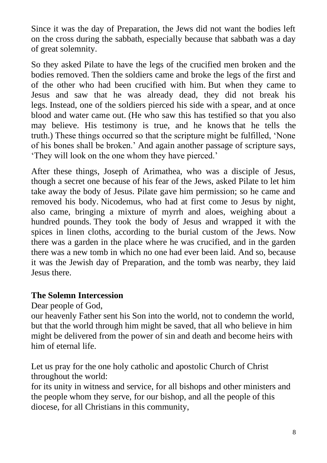Since it was the day of Preparation, the Jews did not want the bodies left on the cross during the sabbath, especially because that sabbath was a day of great solemnity.

So they asked Pilate to have the legs of the crucified men broken and the bodies removed. Then the soldiers came and broke the legs of the first and of the other who had been crucified with him. But when they came to Jesus and saw that he was already dead, they did not break his legs. Instead, one of the soldiers pierced his side with a spear, and at once blood and water came out. (He who saw this has testified so that you also may believe. His testimony is true, and he knows that he tells the truth.) These things occurred so that the scripture might be fulfilled, 'None of his bones shall be broken.' And again another passage of scripture says, 'They will look on the one whom they have pierced.'

After these things, Joseph of Arimathea, who was a disciple of Jesus, though a secret one because of his fear of the Jews, asked Pilate to let him take away the body of Jesus. Pilate gave him permission; so he came and removed his body. Nicodemus, who had at first come to Jesus by night, also came, bringing a mixture of myrrh and aloes, weighing about a hundred pounds. They took the body of Jesus and wrapped it with the spices in linen cloths, according to the burial custom of the Jews. Now there was a garden in the place where he was crucified, and in the garden there was a new tomb in which no one had ever been laid. And so, because it was the Jewish day of Preparation, and the tomb was nearby, they laid Jesus there.

#### **The Solemn Intercession**

Dear people of God,

our heavenly Father sent his Son into the world, not to condemn the world, but that the world through him might be saved, that all who believe in him might be delivered from the power of sin and death and become heirs with him of eternal life.

Let us pray for the one holy catholic and apostolic Church of Christ throughout the world:

for its unity in witness and service, for all bishops and other ministers and the people whom they serve, for our bishop, and all the people of this diocese, for all Christians in this community,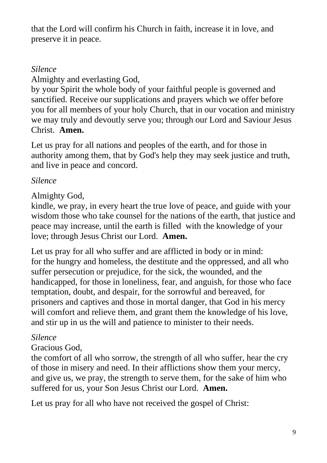that the Lord will confirm his Church in faith, increase it in love, and preserve it in peace.

## *Silence*

Almighty and everlasting God,

by your Spirit the whole body of your faithful people is governed and sanctified. Receive our supplications and prayers which we offer before you for all members of your holy Church, that in our vocation and ministry we may truly and devoutly serve you; through our Lord and Saviour Jesus Christ. **Amen.** 

Let us pray for all nations and peoples of the earth, and for those in authority among them, that by God's help they may seek justice and truth, and live in peace and concord.

# *Silence*

# Almighty God,

kindle, we pray, in every heart the true love of peace, and guide with your wisdom those who take counsel for the nations of the earth, that justice and peace may increase, until the earth is filled with the knowledge of your love; through Jesus Christ our Lord. **Amen.**

Let us pray for all who suffer and are afflicted in body or in mind: for the hungry and homeless, the destitute and the oppressed, and all who suffer persecution or prejudice, for the sick, the wounded, and the handicapped, for those in loneliness, fear, and anguish, for those who face temptation, doubt, and despair, for the sorrowful and bereaved, for prisoners and captives and those in mortal danger, that God in his mercy will comfort and relieve them, and grant them the knowledge of his love, and stir up in us the will and patience to minister to their needs.

## *Silence*

## Gracious God,

the comfort of all who sorrow, the strength of all who suffer, hear the cry of those in misery and need. In their afflictions show them your mercy, and give us, we pray, the strength to serve them, for the sake of him who suffered for us, your Son Jesus Christ our Lord. **Amen.**

Let us pray for all who have not received the gospel of Christ: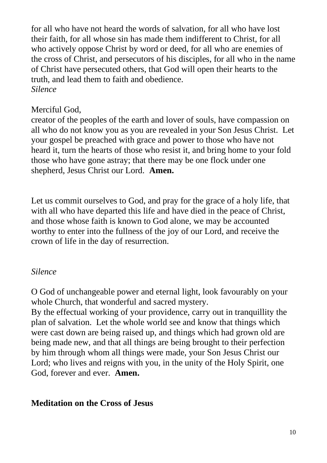for all who have not heard the words of salvation, for all who have lost their faith, for all whose sin has made them indifferent to Christ, for all who actively oppose Christ by word or deed, for all who are enemies of the cross of Christ, and persecutors of his disciples, for all who in the name of Christ have persecuted others, that God will open their hearts to the truth, and lead them to faith and obedience. *Silence*

### Merciful God,

creator of the peoples of the earth and lover of souls, have compassion on all who do not know you as you are revealed in your Son Jesus Christ. Let your gospel be preached with grace and power to those who have not heard it, turn the hearts of those who resist it, and bring home to your fold those who have gone astray; that there may be one flock under one shepherd, Jesus Christ our Lord. **Amen.**

Let us commit ourselves to God, and pray for the grace of a holy life, that with all who have departed this life and have died in the peace of Christ, and those whose faith is known to God alone, we may be accounted worthy to enter into the fullness of the joy of our Lord, and receive the crown of life in the day of resurrection.

#### *Silence*

O God of unchangeable power and eternal light, look favourably on your whole Church, that wonderful and sacred mystery.

By the effectual working of your providence, carry out in tranquillity the plan of salvation. Let the whole world see and know that things which were cast down are being raised up, and things which had grown old are being made new, and that all things are being brought to their perfection by him through whom all things were made, your Son Jesus Christ our Lord; who lives and reigns with you, in the unity of the Holy Spirit, one God, forever and ever. **Amen.**

#### **Meditation on the Cross of Jesus**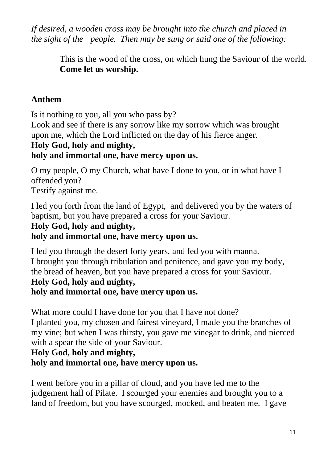*If desired, a wooden cross may be brought into the church and placed in the sight of the people. Then may be sung or said one of the following:*

> This is the wood of the cross, on which hung the Saviour of the world. **Come let us worship.**

## **Anthem**

Is it nothing to you, all you who pass by?

Look and see if there is any sorrow like my sorrow which was brought upon me, which the Lord inflicted on the day of his fierce anger.

### **Holy God, holy and mighty,**

### **holy and immortal one, have mercy upon us.**

O my people, O my Church, what have I done to you, or in what have I offended you?

Testify against me.

I led you forth from the land of Egypt, and delivered you by the waters of baptism, but you have prepared a cross for your Saviour.

### **Holy God, holy and mighty,**

## **holy and immortal one, have mercy upon us.**

I led you through the desert forty years, and fed you with manna. I brought you through tribulation and penitence, and gave you my body, the bread of heaven, but you have prepared a cross for your Saviour.

## **Holy God, holy and mighty,**

## **holy and immortal one, have mercy upon us.**

What more could I have done for you that I have not done? I planted you, my chosen and fairest vineyard, I made you the branches of my vine; but when I was thirsty, you gave me vinegar to drink, and pierced with a spear the side of your Saviour.

# **Holy God, holy and mighty,**

## **holy and immortal one, have mercy upon us.**

I went before you in a pillar of cloud, and you have led me to the judgement hall of Pilate. I scourged your enemies and brought you to a land of freedom, but you have scourged, mocked, and beaten me. I gave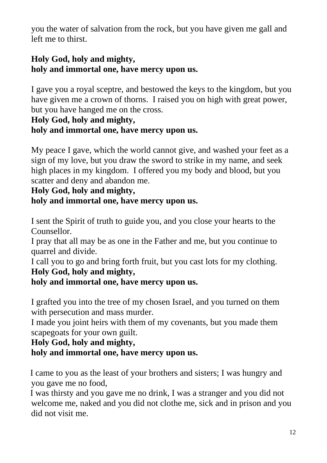you the water of salvation from the rock, but you have given me gall and left me to thirst.

## **Holy God, holy and mighty, holy and immortal one, have mercy upon us.**

I gave you a royal sceptre, and bestowed the keys to the kingdom, but you have given me a crown of thorns. I raised you on high with great power, but you have hanged me on the cross.

## **Holy God, holy and mighty, holy and immortal one, have mercy upon us.**

My peace I gave, which the world cannot give, and washed your feet as a sign of my love, but you draw the sword to strike in my name, and seek high places in my kingdom. I offered you my body and blood, but you scatter and deny and abandon me.

## **Holy God, holy and mighty,**

# **holy and immortal one, have mercy upon us.**

I sent the Spirit of truth to guide you, and you close your hearts to the Counsellor.

I pray that all may be as one in the Father and me, but you continue to quarrel and divide.

I call you to go and bring forth fruit, but you cast lots for my clothing. **Holy God, holy and mighty,**

## **holy and immortal one, have mercy upon us.**

I grafted you into the tree of my chosen Israel, and you turned on them with persecution and mass murder.

I made you joint heirs with them of my covenants, but you made them scapegoats for your own guilt.

### **Holy God, holy and mighty, holy and immortal one, have mercy upon us.**

 I came to you as the least of your brothers and sisters; I was hungry and you gave me no food,

 I was thirsty and you gave me no drink, I was a stranger and you did not welcome me, naked and you did not clothe me, sick and in prison and you did not visit me.